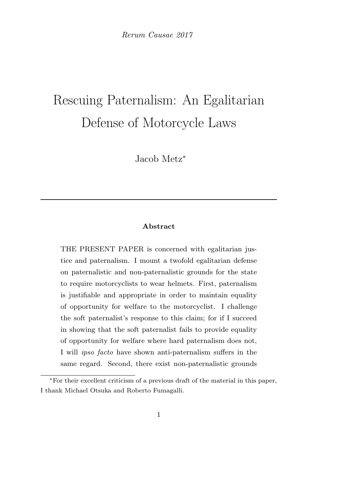Rerum Causae 2017

# Rescuing Paternalism: An Egalitarian Defense of Motorcycle Laws

Jacob Metz<sup>∗</sup>

#### Abstract

THE PRESENT PAPER is concerned with egalitarian justice and paternalism. I mount a twofold egalitarian defense on paternalistic and non-paternalistic grounds for the state to require motorcyclists to wear helmets. First, paternalism is justifiable and appropriate in order to maintain equality of opportunity for welfare to the motorcyclist. I challenge the soft paternalist's response to this claim; for if I succeed in showing that the soft paternalist fails to provide equality of opportunity for welfare where hard paternalism does not, I will ipso facto have shown anti-paternalism suffers in the same regard. Second, there exist non-paternalistic grounds

<sup>∗</sup>For their excellent criticism of a previous draft of the material in this paper, I thank Michael Otsuka and Roberto Fumagalli.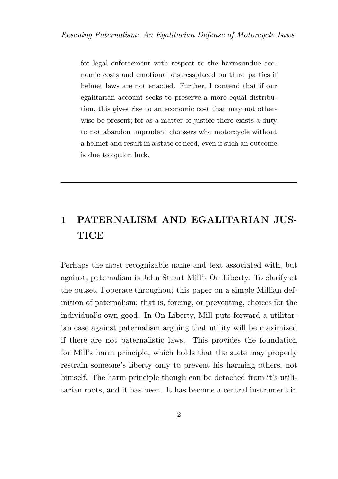for legal enforcement with respect to the harmsundue economic costs and emotional distressplaced on third parties if helmet laws are not enacted. Further, I contend that if our egalitarian account seeks to preserve a more equal distribution, this gives rise to an economic cost that may not otherwise be present; for as a matter of justice there exists a duty to not abandon imprudent choosers who motorcycle without a helmet and result in a state of need, even if such an outcome is due to option luck.

## 1 PATERNALISM AND EGALITARIAN JUS-**TICE**

Perhaps the most recognizable name and text associated with, but against, paternalism is John Stuart Mill's On Liberty. To clarify at the outset, I operate throughout this paper on a simple Millian definition of paternalism; that is, forcing, or preventing, choices for the individual's own good. In On Liberty, Mill puts forward a utilitarian case against paternalism arguing that utility will be maximized if there are not paternalistic laws. This provides the foundation for Mill's harm principle, which holds that the state may properly restrain someone's liberty only to prevent his harming others, not himself. The harm principle though can be detached from it's utilitarian roots, and it has been. It has become a central instrument in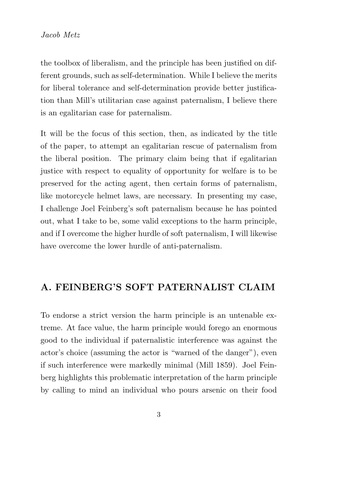the toolbox of liberalism, and the principle has been justified on different grounds, such as self-determination. While I believe the merits for liberal tolerance and self-determination provide better justification than Mill's utilitarian case against paternalism, I believe there is an egalitarian case for paternalism.

It will be the focus of this section, then, as indicated by the title of the paper, to attempt an egalitarian rescue of paternalism from the liberal position. The primary claim being that if egalitarian justice with respect to equality of opportunity for welfare is to be preserved for the acting agent, then certain forms of paternalism, like motorcycle helmet laws, are necessary. In presenting my case, I challenge Joel Feinberg's soft paternalism because he has pointed out, what I take to be, some valid exceptions to the harm principle, and if I overcome the higher hurdle of soft paternalism, I will likewise have overcome the lower hurdle of anti-paternalism.

#### A. FEINBERG'S SOFT PATERNALIST CLAIM

To endorse a strict version the harm principle is an untenable extreme. At face value, the harm principle would forego an enormous good to the individual if paternalistic interference was against the actor's choice (assuming the actor is "warned of the danger"), even if such interference were markedly minimal (Mill 1859). Joel Feinberg highlights this problematic interpretation of the harm principle by calling to mind an individual who pours arsenic on their food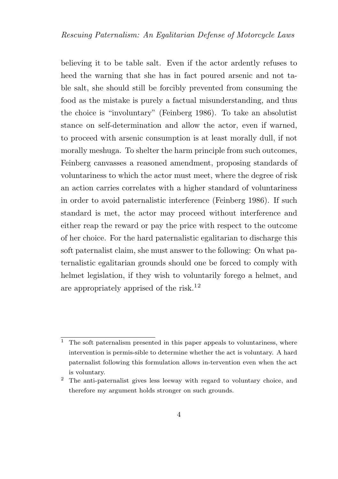believing it to be table salt. Even if the actor ardently refuses to heed the warning that she has in fact poured arsenic and not table salt, she should still be forcibly prevented from consuming the food as the mistake is purely a factual misunderstanding, and thus the choice is "involuntary" (Feinberg 1986). To take an absolutist stance on self-determination and allow the actor, even if warned, to proceed with arsenic consumption is at least morally dull, if not morally meshuga. To shelter the harm principle from such outcomes, Feinberg canvasses a reasoned amendment, proposing standards of voluntariness to which the actor must meet, where the degree of risk an action carries correlates with a higher standard of voluntariness in order to avoid paternalistic interference (Feinberg 1986). If such standard is met, the actor may proceed without interference and either reap the reward or pay the price with respect to the outcome of her choice. For the hard paternalistic egalitarian to discharge this soft paternalist claim, she must answer to the following: On what paternalistic egalitarian grounds should one be forced to comply with helmet legislation, if they wish to voluntarily forego a helmet, and are appropriately apprised of the risk.<sup>12</sup>

 $^{\rm 1}~$  The soft paternalism presented in this paper appeals to voluntariness, where intervention is permis-sible to determine whether the act is voluntary. A hard paternalist following this formulation allows in-tervention even when the act is voluntary.

<sup>2</sup> The anti-paternalist gives less leeway with regard to voluntary choice, and therefore my argument holds stronger on such grounds.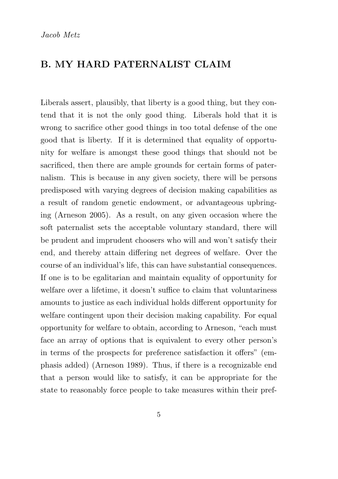#### B. MY HARD PATERNALIST CLAIM

Liberals assert, plausibly, that liberty is a good thing, but they contend that it is not the only good thing. Liberals hold that it is wrong to sacrifice other good things in too total defense of the one good that is liberty. If it is determined that equality of opportunity for welfare is amongst these good things that should not be sacrificed, then there are ample grounds for certain forms of paternalism. This is because in any given society, there will be persons predisposed with varying degrees of decision making capabilities as a result of random genetic endowment, or advantageous upbringing (Arneson 2005). As a result, on any given occasion where the soft paternalist sets the acceptable voluntary standard, there will be prudent and imprudent choosers who will and won't satisfy their end, and thereby attain differing net degrees of welfare. Over the course of an individual's life, this can have substantial consequences. If one is to be egalitarian and maintain equality of opportunity for welfare over a lifetime, it doesn't suffice to claim that voluntariness amounts to justice as each individual holds different opportunity for welfare contingent upon their decision making capability. For equal opportunity for welfare to obtain, according to Arneson, "each must face an array of options that is equivalent to every other person's in terms of the prospects for preference satisfaction it offers" (emphasis added) (Arneson 1989). Thus, if there is a recognizable end that a person would like to satisfy, it can be appropriate for the state to reasonably force people to take measures within their pref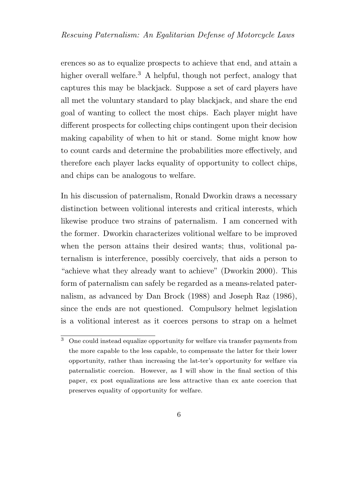erences so as to equalize prospects to achieve that end, and attain a higher overall welfare.<sup>3</sup> A helpful, though not perfect, analogy that captures this may be blackjack. Suppose a set of card players have all met the voluntary standard to play blackjack, and share the end goal of wanting to collect the most chips. Each player might have different prospects for collecting chips contingent upon their decision making capability of when to hit or stand. Some might know how to count cards and determine the probabilities more effectively, and therefore each player lacks equality of opportunity to collect chips, and chips can be analogous to welfare.

In his discussion of paternalism, Ronald Dworkin draws a necessary distinction between volitional interests and critical interests, which likewise produce two strains of paternalism. I am concerned with the former. Dworkin characterizes volitional welfare to be improved when the person attains their desired wants; thus, volitional paternalism is interference, possibly coercively, that aids a person to "achieve what they already want to achieve" (Dworkin 2000). This form of paternalism can safely be regarded as a means-related paternalism, as advanced by Dan Brock (1988) and Joseph Raz (1986), since the ends are not questioned. Compulsory helmet legislation is a volitional interest as it coerces persons to strap on a helmet

 $\overline{3}$  One could instead equalize opportunity for welfare via transfer payments from the more capable to the less capable, to compensate the latter for their lower opportunity, rather than increasing the lat-ter's opportunity for welfare via paternalistic coercion. However, as I will show in the final section of this paper, ex post equalizations are less attractive than ex ante coercion that preserves equality of opportunity for welfare.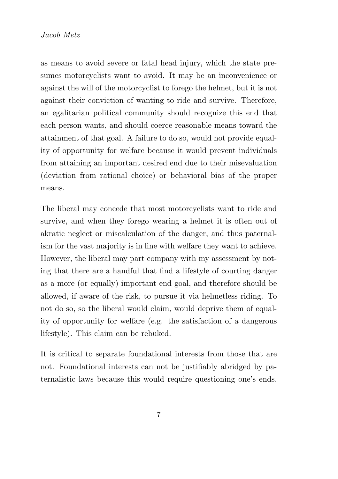as means to avoid severe or fatal head injury, which the state presumes motorcyclists want to avoid. It may be an inconvenience or against the will of the motorcyclist to forego the helmet, but it is not against their conviction of wanting to ride and survive. Therefore, an egalitarian political community should recognize this end that each person wants, and should coerce reasonable means toward the attainment of that goal. A failure to do so, would not provide equality of opportunity for welfare because it would prevent individuals from attaining an important desired end due to their misevaluation (deviation from rational choice) or behavioral bias of the proper means.

The liberal may concede that most motorcyclists want to ride and survive, and when they forego wearing a helmet it is often out of akratic neglect or miscalculation of the danger, and thus paternalism for the vast majority is in line with welfare they want to achieve. However, the liberal may part company with my assessment by noting that there are a handful that find a lifestyle of courting danger as a more (or equally) important end goal, and therefore should be allowed, if aware of the risk, to pursue it via helmetless riding. To not do so, so the liberal would claim, would deprive them of equality of opportunity for welfare (e.g. the satisfaction of a dangerous lifestyle). This claim can be rebuked.

It is critical to separate foundational interests from those that are not. Foundational interests can not be justifiably abridged by paternalistic laws because this would require questioning one's ends.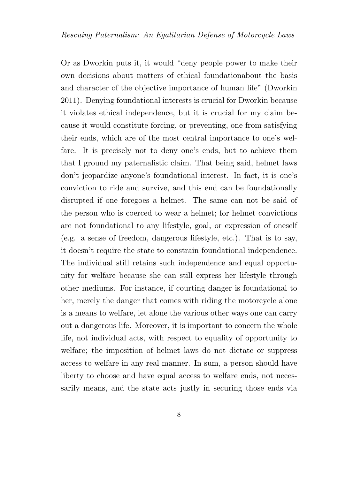Or as Dworkin puts it, it would "deny people power to make their own decisions about matters of ethical foundationabout the basis and character of the objective importance of human life" (Dworkin 2011). Denying foundational interests is crucial for Dworkin because it violates ethical independence, but it is crucial for my claim because it would constitute forcing, or preventing, one from satisfying their ends, which are of the most central importance to one's welfare. It is precisely not to deny one's ends, but to achieve them that I ground my paternalistic claim. That being said, helmet laws don't jeopardize anyone's foundational interest. In fact, it is one's conviction to ride and survive, and this end can be foundationally disrupted if one foregoes a helmet. The same can not be said of the person who is coerced to wear a helmet; for helmet convictions are not foundational to any lifestyle, goal, or expression of oneself (e.g. a sense of freedom, dangerous lifestyle, etc.). That is to say, it doesn't require the state to constrain foundational independence. The individual still retains such independence and equal opportunity for welfare because she can still express her lifestyle through other mediums. For instance, if courting danger is foundational to her, merely the danger that comes with riding the motorcycle alone is a means to welfare, let alone the various other ways one can carry out a dangerous life. Moreover, it is important to concern the whole life, not individual acts, with respect to equality of opportunity to welfare; the imposition of helmet laws do not dictate or suppress access to welfare in any real manner. In sum, a person should have liberty to choose and have equal access to welfare ends, not necessarily means, and the state acts justly in securing those ends via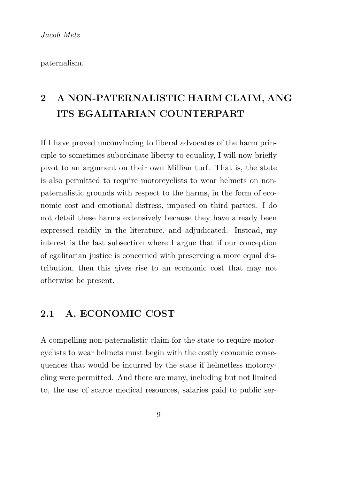Jacob Metz

paternalism.

## 2 A NON-PATERNALISTIC HARM CLAIM, ANG ITS EGALITARIAN COUNTERPART

If I have proved unconvincing to liberal advocates of the harm principle to sometimes subordinate liberty to equality, I will now briefly pivot to an argument on their own Millian turf. That is, the state is also permitted to require motorcyclists to wear helmets on nonpaternalistic grounds with respect to the harms, in the form of economic cost and emotional distress, imposed on third parties. I do not detail these harms extensively because they have already been expressed readily in the literature, and adjudicated. Instead, my interest is the last subsection where I argue that if our conception of egalitarian justice is concerned with preserving a more equal distribution, then this gives rise to an economic cost that may not otherwise be present.

#### 2.1 A. ECONOMIC COST

A compelling non-paternalistic claim for the state to require motorcyclists to wear helmets must begin with the costly economic consequences that would be incurred by the state if helmetless motorcycling were permitted. And there are many, including but not limited to, the use of scarce medical resources, salaries paid to public ser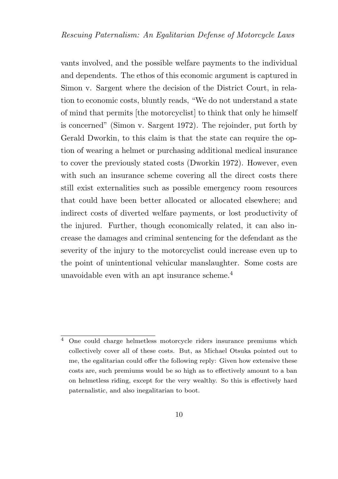vants involved, and the possible welfare payments to the individual and dependents. The ethos of this economic argument is captured in Simon v. Sargent where the decision of the District Court, in relation to economic costs, bluntly reads, "We do not understand a state of mind that permits [the motorcyclist] to think that only he himself is concerned" (Simon v. Sargent 1972). The rejoinder, put forth by Gerald Dworkin, to this claim is that the state can require the option of wearing a helmet or purchasing additional medical insurance to cover the previously stated costs (Dworkin 1972). However, even with such an insurance scheme covering all the direct costs there still exist externalities such as possible emergency room resources that could have been better allocated or allocated elsewhere; and indirect costs of diverted welfare payments, or lost productivity of the injured. Further, though economically related, it can also increase the damages and criminal sentencing for the defendant as the severity of the injury to the motorcyclist could increase even up to the point of unintentional vehicular manslaughter. Some costs are unavoidable even with an apt insurance scheme.<sup>4</sup>

<sup>4</sup> One could charge helmetless motorcycle riders insurance premiums which collectively cover all of these costs. But, as Michael Otsuka pointed out to me, the egalitarian could offer the following reply: Given how extensive these costs are, such premiums would be so high as to effectively amount to a ban on helmetless riding, except for the very wealthy. So this is effectively hard paternalistic, and also inegalitarian to boot.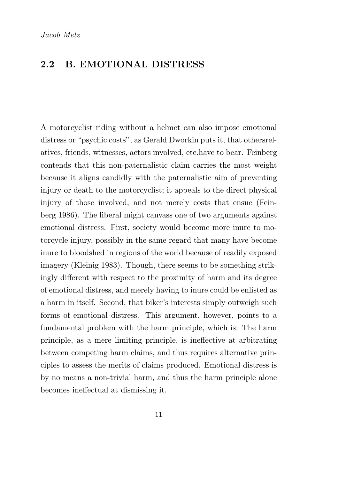Jacob Metz

#### 2.2 B. EMOTIONAL DISTRESS

A motorcyclist riding without a helmet can also impose emotional distress or "psychic costs", as Gerald Dworkin puts it, that othersrelatives, friends, witnesses, actors involved, etc.have to bear. Feinberg contends that this non-paternalistic claim carries the most weight because it aligns candidly with the paternalistic aim of preventing injury or death to the motorcyclist; it appeals to the direct physical injury of those involved, and not merely costs that ensue (Feinberg 1986). The liberal might canvass one of two arguments against emotional distress. First, society would become more inure to motorcycle injury, possibly in the same regard that many have become inure to bloodshed in regions of the world because of readily exposed imagery (Kleinig 1983). Though, there seems to be something strikingly different with respect to the proximity of harm and its degree of emotional distress, and merely having to inure could be enlisted as a harm in itself. Second, that biker's interests simply outweigh such forms of emotional distress. This argument, however, points to a fundamental problem with the harm principle, which is: The harm principle, as a mere limiting principle, is ineffective at arbitrating between competing harm claims, and thus requires alternative principles to assess the merits of claims produced. Emotional distress is by no means a non-trivial harm, and thus the harm principle alone becomes ineffectual at dismissing it.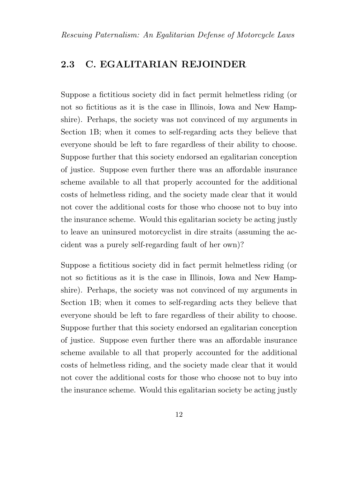### 2.3 C. EGALITARIAN REJOINDER

Suppose a fictitious society did in fact permit helmetless riding (or not so fictitious as it is the case in Illinois, Iowa and New Hampshire). Perhaps, the society was not convinced of my arguments in Section 1B; when it comes to self-regarding acts they believe that everyone should be left to fare regardless of their ability to choose. Suppose further that this society endorsed an egalitarian conception of justice. Suppose even further there was an affordable insurance scheme available to all that properly accounted for the additional costs of helmetless riding, and the society made clear that it would not cover the additional costs for those who choose not to buy into the insurance scheme. Would this egalitarian society be acting justly to leave an uninsured motorcyclist in dire straits (assuming the accident was a purely self-regarding fault of her own)?

Suppose a fictitious society did in fact permit helmetless riding (or not so fictitious as it is the case in Illinois, Iowa and New Hampshire). Perhaps, the society was not convinced of my arguments in Section 1B; when it comes to self-regarding acts they believe that everyone should be left to fare regardless of their ability to choose. Suppose further that this society endorsed an egalitarian conception of justice. Suppose even further there was an affordable insurance scheme available to all that properly accounted for the additional costs of helmetless riding, and the society made clear that it would not cover the additional costs for those who choose not to buy into the insurance scheme. Would this egalitarian society be acting justly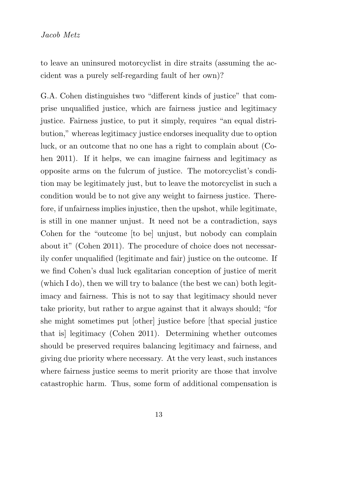to leave an uninsured motorcyclist in dire straits (assuming the accident was a purely self-regarding fault of her own)?

G.A. Cohen distinguishes two "different kinds of justice" that comprise unqualified justice, which are fairness justice and legitimacy justice. Fairness justice, to put it simply, requires "an equal distribution," whereas legitimacy justice endorses inequality due to option luck, or an outcome that no one has a right to complain about (Cohen 2011). If it helps, we can imagine fairness and legitimacy as opposite arms on the fulcrum of justice. The motorcyclist's condition may be legitimately just, but to leave the motorcyclist in such a condition would be to not give any weight to fairness justice. Therefore, if unfairness implies injustice, then the upshot, while legitimate, is still in one manner unjust. It need not be a contradiction, says Cohen for the "outcome [to be] unjust, but nobody can complain about it" (Cohen 2011). The procedure of choice does not necessarily confer unqualified (legitimate and fair) justice on the outcome. If we find Cohen's dual luck egalitarian conception of justice of merit (which I do), then we will try to balance (the best we can) both legitimacy and fairness. This is not to say that legitimacy should never take priority, but rather to argue against that it always should; "for she might sometimes put [other] justice before [that special justice that is] legitimacy (Cohen 2011). Determining whether outcomes should be preserved requires balancing legitimacy and fairness, and giving due priority where necessary. At the very least, such instances where fairness justice seems to merit priority are those that involve catastrophic harm. Thus, some form of additional compensation is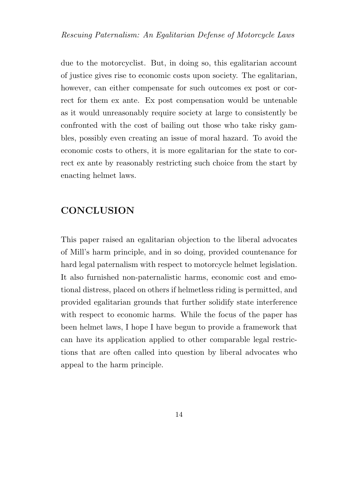due to the motorcyclist. But, in doing so, this egalitarian account of justice gives rise to economic costs upon society. The egalitarian, however, can either compensate for such outcomes ex post or correct for them ex ante. Ex post compensation would be untenable as it would unreasonably require society at large to consistently be confronted with the cost of bailing out those who take risky gambles, possibly even creating an issue of moral hazard. To avoid the economic costs to others, it is more egalitarian for the state to correct ex ante by reasonably restricting such choice from the start by enacting helmet laws.

#### **CONCLUSION**

This paper raised an egalitarian objection to the liberal advocates of Mill's harm principle, and in so doing, provided countenance for hard legal paternalism with respect to motorcycle helmet legislation. It also furnished non-paternalistic harms, economic cost and emotional distress, placed on others if helmetless riding is permitted, and provided egalitarian grounds that further solidify state interference with respect to economic harms. While the focus of the paper has been helmet laws, I hope I have begun to provide a framework that can have its application applied to other comparable legal restrictions that are often called into question by liberal advocates who appeal to the harm principle.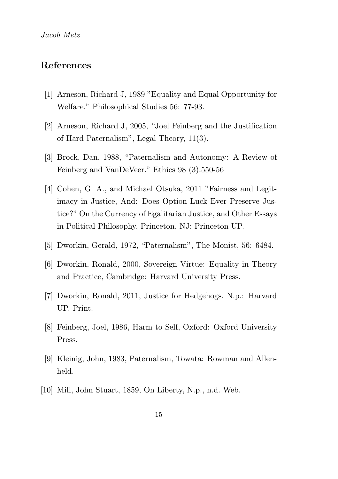#### References

- [1] Arneson, Richard J, 1989 "Equality and Equal Opportunity for Welfare." Philosophical Studies 56: 77-93.
- [2] Arneson, Richard J, 2005, "Joel Feinberg and the Justification of Hard Paternalism", Legal Theory, 11(3).
- [3] Brock, Dan, 1988, "Paternalism and Autonomy: A Review of Feinberg and VanDeVeer." Ethics 98 (3):550-56
- [4] Cohen, G. A., and Michael Otsuka, 2011 "Fairness and Legitimacy in Justice, And: Does Option Luck Ever Preserve Justice?" On the Currency of Egalitarian Justice, and Other Essays in Political Philosophy. Princeton, NJ: Princeton UP.
- [5] Dworkin, Gerald, 1972, "Paternalism", The Monist, 56: 6484.
- [6] Dworkin, Ronald, 2000, Sovereign Virtue: Equality in Theory and Practice, Cambridge: Harvard University Press.
- [7] Dworkin, Ronald, 2011, Justice for Hedgehogs. N.p.: Harvard UP. Print.
- [8] Feinberg, Joel, 1986, Harm to Self, Oxford: Oxford University Press.
- [9] Kleinig, John, 1983, Paternalism, Towata: Rowman and Allenheld.
- [10] Mill, John Stuart, 1859, On Liberty, N.p., n.d. Web.